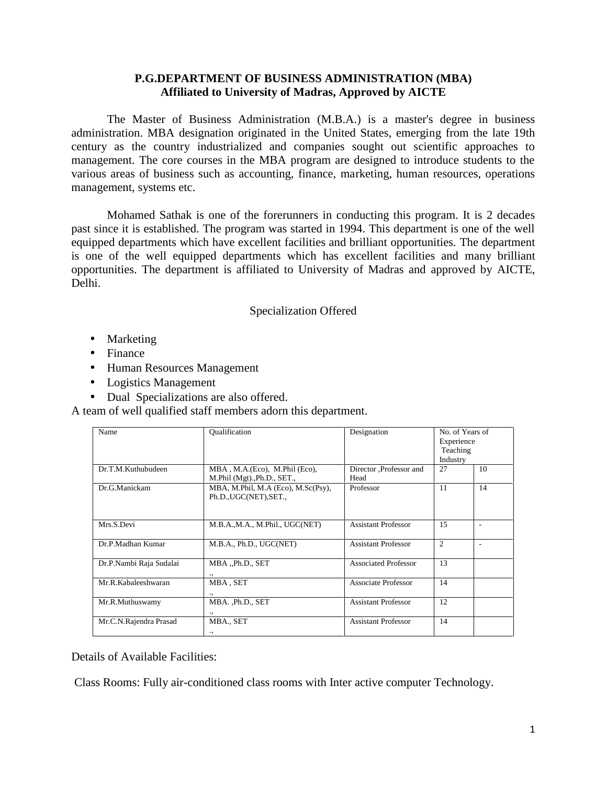## **P.G.DEPARTMENT OF BUSINESS ADMINISTRATION (MBA) Affiliated to University of Madras, Approved by AICTE**

The Master of Business Administration (M.B.A.) is a master's degree in business administration. MBA designation originated in the United States, emerging from the late 19th century as the country industrialized and companies sought out scientific approaches to management. The core courses in the MBA program are designed to introduce students to the various areas of business such as accounting, finance, marketing, human resources, operations management, systems etc.

Mohamed Sathak is one of the forerunners in conducting this program. It is 2 decades past since it is established. The program was started in 1994. This department is one of the well equipped departments which have excellent facilities and brilliant opportunities. The department is one of the well equipped departments which has excellent facilities and many brilliant opportunities. The department is affiliated to University of Madras and approved by AICTE, Delhi.

#### Specialization Offered

Marketing

Finance

Human Resources Management

Logistics Management

Dual Specializations are also offered.

A team of well qualified staff members adorn this department.

| Name                    | Oualification                                                | Designation                 | No. of Years of |    |
|-------------------------|--------------------------------------------------------------|-----------------------------|-----------------|----|
|                         |                                                              |                             | Experience      |    |
|                         |                                                              |                             | Teaching        |    |
|                         |                                                              |                             | Industry        |    |
| Dr.T.M.Kuthubudeen      | MBA, M.A. (Eco), M.Phil (Eco),                               | Director ,Professor and     | 27              | 10 |
|                         | M.Phil (Mgt).,Ph.D., SET.,                                   | Head                        |                 |    |
| Dr.G.Manickam           | MBA, M.Phil, M.A (Eco), M.Sc(Psy),<br>Ph.D., UGC(NET), SET., | Professor                   | 11              | 14 |
| Mrs.S.Devi              | M.B.A.,M.A., M.Phil., UGC(NET)                               | <b>Assistant Professor</b>  | 15              | ٠  |
| Dr.P.Madhan Kumar       | M.B.A., Ph.D., UGC(NET)                                      | <b>Assistant Professor</b>  | $\overline{c}$  |    |
| Dr.P.Nambi Raja Sudalai | MBA "Ph.D., SET<br>٠,                                        | <b>Associated Professor</b> | 13              |    |
| Mr.R.Kabaleeshwaran     | MBA, SET                                                     | Associate Professor         | 14              |    |
| Mr.R.Muthuswamy         | MBA., Ph.D., SET<br>٠,                                       | <b>Assistant Professor</b>  | 12              |    |
| Mr.C.N.Rajendra Prasad  | MBA., SET<br>٠,                                              | <b>Assistant Professor</b>  | 14              |    |

Details of Available Facilities:

Class Rooms: Fully air-conditioned class rooms with Inter active computer Technology.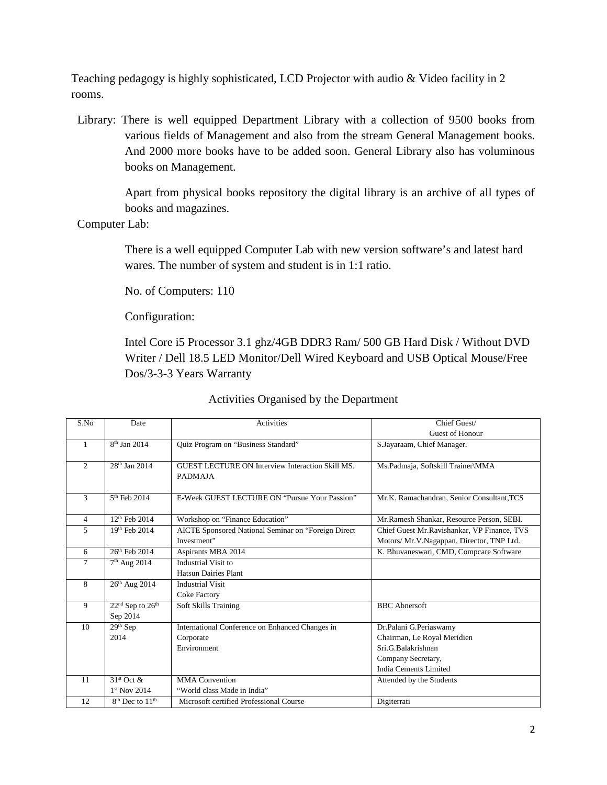Teaching pedagogy is highly sophisticated, LCD Projector with audio & Video facility in 2 rooms.

Library: There is well equipped Department Library with a collection of 9500 books from various fields of Management and also from the stream General Management books. And 2000 more books have to be added soon. General Library also has voluminous books on Management.

> Apart from physical books repository the digital library is an archive of all types of books and magazines.

Computer Lab:

There is a well equipped Computer Lab with new version software's and latest hard wares. The number of system and student is in 1:1 ratio.

No. of Computers: 110

Configuration:

Intel Core i5 Processor 3.1 ghz/4GB DDR3 Ram/ 500 GB Hard Disk / Without DVD Writer / Dell 18.5 LED Monitor/Dell Wired Keyboard and USB Optical Mouse/Free Dos/3-3-3 Years Warranty

| S.No           | Date                     | <b>Activities</b>                                                  | Chief Guest/                                 |  |
|----------------|--------------------------|--------------------------------------------------------------------|----------------------------------------------|--|
|                |                          |                                                                    | <b>Guest of Honour</b>                       |  |
| 1              | $8th$ Jan 2014           | Quiz Program on "Business Standard"                                | S.Jayaraam, Chief Manager.                   |  |
|                |                          |                                                                    |                                              |  |
| $\overline{2}$ | $28th$ Jan 2014          | GUEST LECTURE ON Interview Interaction Skill MS.<br><b>PADMAJA</b> | Ms.Padmaja, Softskill Trainer\MMA            |  |
|                |                          |                                                                    |                                              |  |
| 3              | $5th$ Feb 2014           | E-Week GUEST LECTURE ON "Pursue Your Passion"                      | Mr.K. Ramachandran, Senior Consultant, TCS   |  |
| $\overline{4}$ | $12^{th}$ Feb 2014       | Workshop on "Finance Education"                                    | Mr.Ramesh Shankar, Resource Person, SEBI.    |  |
| 5              | 19th Feb 2014            | AICTE Sponsored National Seminar on "Foreign Direct                | Chief Guest Mr. Ravishankar, VP Finance, TVS |  |
|                |                          | Investment"                                                        |                                              |  |
|                |                          |                                                                    | Motors/ Mr.V.Nagappan, Director, TNP Ltd.    |  |
| 6              | $26th$ Feb 2014          | Aspirants MBA 2014                                                 | K. Bhuvaneswari, CMD, Compcare Software      |  |
| 7              | 7 <sup>th</sup> Aug 2014 | Industrial Visit to                                                |                                              |  |
|                |                          | <b>Hatsun Dairies Plant</b>                                        |                                              |  |
| 8              | $26th$ Aug 2014          | <b>Industrial Visit</b>                                            |                                              |  |
|                |                          | <b>Coke Factory</b>                                                |                                              |  |
| 9              | $22nd$ Sep to $26th$     | Soft Skills Training                                               | <b>BBC</b> Abnersoft                         |  |
|                | Sep 2014                 |                                                                    |                                              |  |
| 10             | $29th$ Sep               | International Conference on Enhanced Changes in                    | Dr.Palani G.Periaswamy                       |  |
|                | 2014                     | Corporate                                                          | Chairman, Le Royal Meridien                  |  |
|                |                          | Environment                                                        | Sri.G.Balakrishnan                           |  |
|                |                          |                                                                    | Company Secretary,                           |  |
|                |                          |                                                                    | India Cements Limited                        |  |
| 11             | $31st$ Oct &             | <b>MMA</b> Convention                                              | Attended by the Students                     |  |
|                | $1st$ Nov 2014           | "World class Made in India"                                        |                                              |  |
| 12             | $8th$ Dec to $11th$      | Microsoft certified Professional Course                            | Digiterrati                                  |  |

## Activities Organised by the Department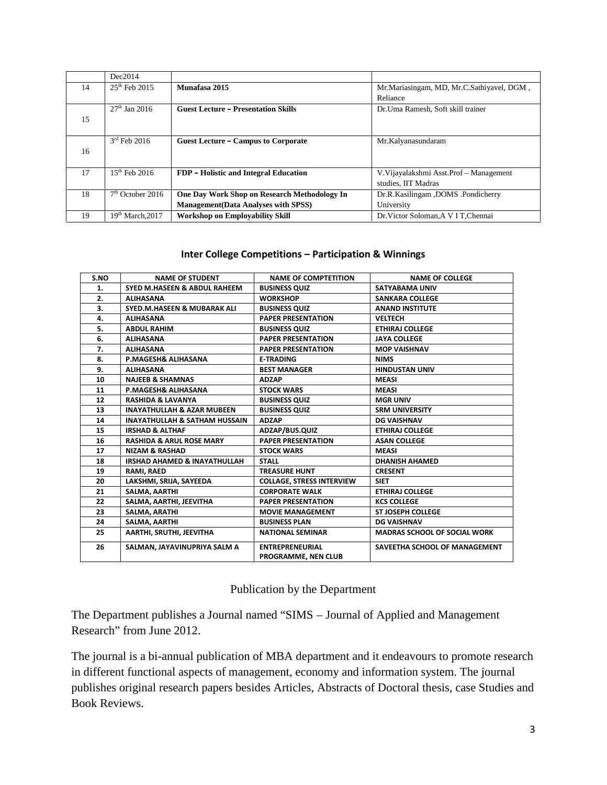|    | Dec2014            |                                              |                                           |
|----|--------------------|----------------------------------------------|-------------------------------------------|
| 14 | $25th$ Feb 2015    | Munafasa 2015                                | Mr.Mariasingam, MD, Mr.C.Sathiyavel, DGM, |
|    |                    |                                              | Reliance                                  |
|    | $27th$ Jan 2016    | <b>Guest Lecture – Presentation Skills</b>   | Dr. Uma Ramesh, Soft skill trainer        |
| 15 |                    |                                              |                                           |
|    |                    |                                              |                                           |
|    | $3rd$ Feb 2016     | <b>Guest Lecture – Campus to Corporate</b>   | Mr.Kalyanasundaram                        |
| 16 |                    |                                              |                                           |
|    |                    |                                              |                                           |
| 17 | $15^{th}$ Feb 2016 | FDP - Holistic and Integral Education        | V. Vijayalakshmi Asst. Prof - Management  |
|    |                    |                                              | studies, IIT Madras                       |
| 18 | $7th$ October 2016 | One Day Work Shop on Research Methodology In | Dr.R.Kasilingam ,DOMS .Pondicherry        |
|    |                    | <b>Management</b> (Data Analyses with SPSS)  | University                                |
| 19 | $19th$ March.2017  | <b>Workshop on Employability Skill</b>       | Dr. Victor Soloman. A V I T. Chennai      |

#### **Inter College Competitions – Participation & Winnings**

| S.NO | <b>NAME OF STUDENT</b>                   | <b>NAME OF COMPTETITION</b>                   | <b>NAME OF COLLEGE</b>              |
|------|------------------------------------------|-----------------------------------------------|-------------------------------------|
| 1.   | <b>SYED M.HASEEN &amp; ABDUL RAHEEM</b>  | <b>BUSINESS QUIZ</b>                          | <b>SATYABAMA UNIV</b>               |
| 2.   | <b>ALIHASANA</b>                         | <b>WORKSHOP</b>                               | <b>SANKARA COLLEGE</b>              |
| 3.   | <b>SYED.M.HASEEN &amp; MUBARAK ALI</b>   | <b>BUSINESS QUIZ</b>                          | <b>ANAND INSTITUTE</b>              |
| 4.   | <b>ALIHASANA</b>                         | <b>PAPER PRESENTATION</b>                     | <b>VELTECH</b>                      |
| 5.   | <b>ABDUL RAHIM</b>                       | <b>BUSINESS QUIZ</b>                          | <b>ETHIRAJ COLLEGE</b>              |
| 6.   | <b>ALIHASANA</b>                         | <b>PAPER PRESENTATION</b>                     | <b>JAYA COLLEGE</b>                 |
| 7.   | <b>ALIHASANA</b>                         | <b>PAPER PRESENTATION</b>                     | <b>MOP VAISHNAV</b>                 |
| 8.   | P.MAGESH& ALIHASANA                      | <b>E-TRADING</b>                              | <b>NIMS</b>                         |
| 9.   | <b>ALIHASANA</b>                         | <b>BEST MANAGER</b>                           | <b>HINDUSTAN UNIV</b>               |
| 10   | <b>NAJEEB &amp; SHAMNAS</b>              | <b>ADZAP</b>                                  | <b>MEASI</b>                        |
| 11   | <b>P.MAGESH&amp; ALIHASANA</b>           | <b>STOCK WARS</b>                             | <b>MEASI</b>                        |
| 12   | <b>RASHIDA &amp; LAVANYA</b>             | <b>BUSINESS QUIZ</b>                          | <b>MGR UNIV</b>                     |
| 13   | <b>INAYATHULLAH &amp; AZAR MUBEEN</b>    | <b>BUSINESS QUIZ</b>                          | <b>SRM UNIVERSITY</b>               |
| 14   | <b>INAYATHULLAH &amp; SATHAM HUSSAIN</b> | <b>ADZAP</b>                                  | <b>DG VAISHNAV</b>                  |
| 15   | <b>IRSHAD &amp; ALTHAF</b>               | ADZAP/BUS.QUIZ                                | <b>ETHIRAJ COLLEGE</b>              |
| 16   | <b>RASHIDA &amp; ARUL ROSE MARY</b>      | <b>PAPER PRESENTATION</b>                     | <b>ASAN COLLEGE</b>                 |
| 17   | <b>NIZAM &amp; RASHAD</b>                | <b>STOCK WARS</b>                             | <b>MEASI</b>                        |
| 18   | <b>IRSHAD AHAMED &amp; INAYATHULLAH</b>  | <b>STALL</b>                                  | <b>DHANISH AHAMED</b>               |
| 19   | RAMI, RAED                               | <b>TREASURE HUNT</b>                          | <b>CRESENT</b>                      |
| 20   | LAKSHMI, SRIJA, SAYEEDA                  | <b>COLLAGE, STRESS INTERVIEW</b>              | <b>SIET</b>                         |
| 21   | SALMA, AARTHI                            | <b>CORPORATE WALK</b>                         | <b>ETHIRAJ COLLEGE</b>              |
| 22   | SALMA, AARTHI, JEEVITHA                  | <b>PAPER PRESENTATION</b>                     | <b>KCS COLLEGE</b>                  |
| 23   | SALMA, ARATHI                            | <b>MOVIE MANAGEMENT</b>                       | <b>ST JOSEPH COLLEGE</b>            |
| 24   | SALMA, AARTHI                            | <b>BUSINESS PLAN</b>                          | <b>DG VAISHNAV</b>                  |
| 25   | AARTHI, SRUTHI, JEEVITHA                 | <b>NATIONAL SEMINAR</b>                       | <b>MADRAS SCHOOL OF SOCIAL WORK</b> |
| 26   | SALMAN, JAYAVINUPRIYA SALM A             | <b>ENTREPRENEURIAL</b><br>PROGRAMME, NEN CLUB | SAVEETHA SCHOOL OF MANAGEMENT       |

## Publication by the Department

The Department publishes a Journal named "SIMS – Journal of Applied and Management Research" from June 2012.

The journal is a bi-annual publication of MBA department and it endeavours to promote research in different functional aspects of management, economy and information system. The journal publishes original research papers besides Articles, Abstracts of Doctoral thesis, case Studies and Book Reviews.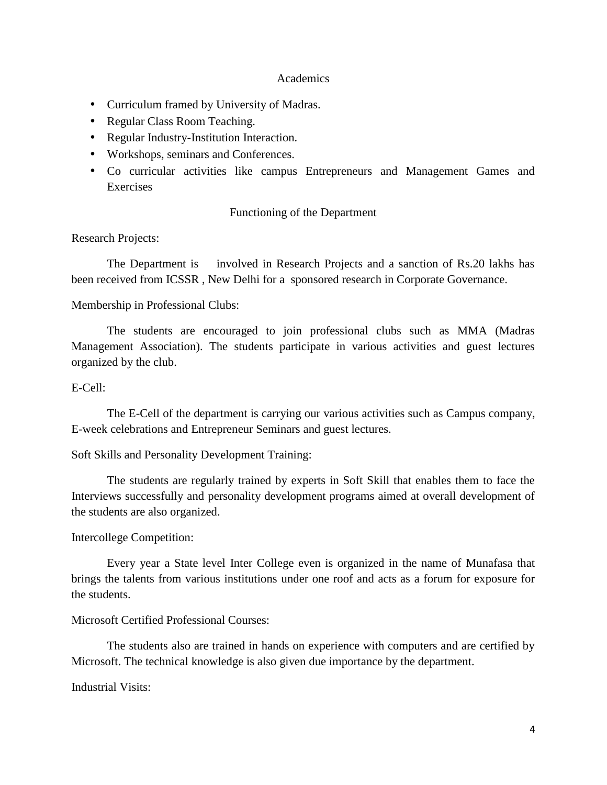#### **Academics**

Curriculum framed by University of Madras.

Regular Class Room Teaching.

Regular Industry-Institution Interaction.

Workshops, seminars and Conferences.

 Co curricular activities like campus Entrepreneurs and Management Games and Exercises

### Functioning of the Department

### Research Projects:

The Department is involved in Research Projects and a sanction of Rs.20 lakhs has been received from ICSSR , New Delhi for a sponsored research in Corporate Governance.

### Membership in Professional Clubs:

The students are encouraged to join professional clubs such as MMA (Madras Management Association). The students participate in various activities and guest lectures organized by the club.

### E-Cell:

The E-Cell of the department is carrying our various activities such as Campus company, E-week celebrations and Entrepreneur Seminars and guest lectures.

### Soft Skills and Personality Development Training:

The students are regularly trained by experts in Soft Skill that enables them to face the Interviews successfully and personality development programs aimed at overall development of the students are also organized.

### Intercollege Competition:

Every year a State level Inter College even is organized in the name of Munafasa that brings the talents from various institutions under one roof and acts as a forum for exposure for the students.

### Microsoft Certified Professional Courses:

The students also are trained in hands on experience with computers and are certified by Microsoft. The technical knowledge is also given due importance by the department.

Industrial Visits: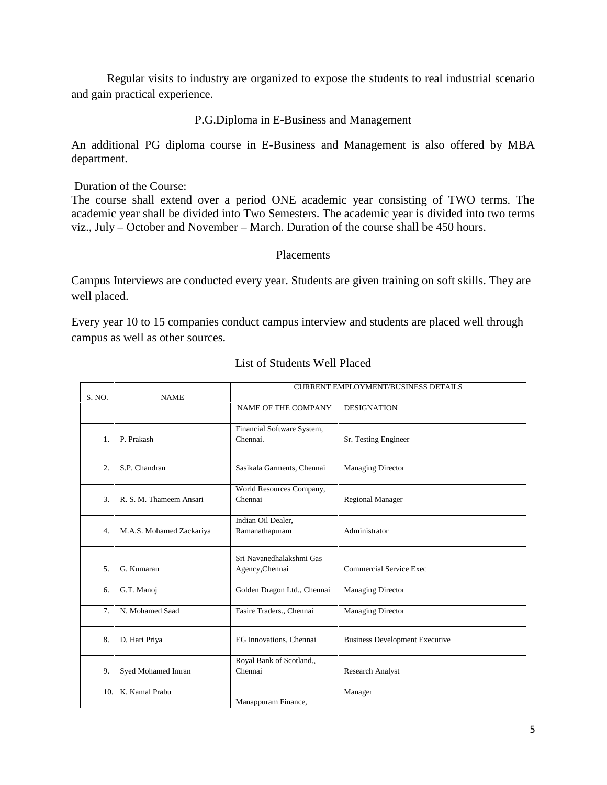Regular visits to industry are organized to expose the students to real industrial scenario and gain practical experience.

## P.G.Diploma in E-Business and Management

An additional PG diploma course in E-Business and Management is also offered by MBA department.

Duration of the Course:

The course shall extend over a period ONE academic year consisting of TWO terms. The academic year shall be divided into Two Semesters. The academic year is divided into two terms viz., July – October and November – March. Duration of the course shall be 450 hours.

### Placements

Campus Interviews are conducted every year. Students are given training on soft skills. They are well placed.

Every year 10 to 15 companies conduct campus interview and students are placed well through campus as well as other sources.

|                  | <b>NAME</b>              | <b>CURRENT EMPLOYMENT/BUSINESS DETAILS</b>  |                                       |  |
|------------------|--------------------------|---------------------------------------------|---------------------------------------|--|
| S. NO.           |                          | <b>NAME OF THE COMPANY</b>                  | <b>DESIGNATION</b>                    |  |
| 1.               | P. Prakash               | Financial Software System,<br>Chennai.      | Sr. Testing Engineer                  |  |
| 2.               | S.P. Chandran            | Sasikala Garments, Chennai                  | Managing Director                     |  |
| 3.               | R. S. M. Thameem Ansari  | World Resources Company,<br>Chennai         | <b>Regional Manager</b>               |  |
| $\overline{4}$ . | M.A.S. Mohamed Zackariya | Indian Oil Dealer,<br>Ramanathapuram        | Administrator                         |  |
| 5 <sub>1</sub>   | G. Kumaran               | Sri Navanedhalakshmi Gas<br>Agency, Chennai | Commercial Service Exec               |  |
| 6.               | G.T. Manoj               | Golden Dragon Ltd., Chennai                 | <b>Managing Director</b>              |  |
| 7.               | N. Mohamed Saad          | Fasire Traders., Chennai                    | <b>Managing Director</b>              |  |
| 8.               | D. Hari Priya            | EG Innovations, Chennai                     | <b>Business Development Executive</b> |  |
| 9.               | Syed Mohamed Imran       | Royal Bank of Scotland.,<br>Chennai         | <b>Research Analyst</b>               |  |
| 10.              | K. Kamal Prabu           | Manappuram Finance,                         | Manager                               |  |

#### List of Students Well Placed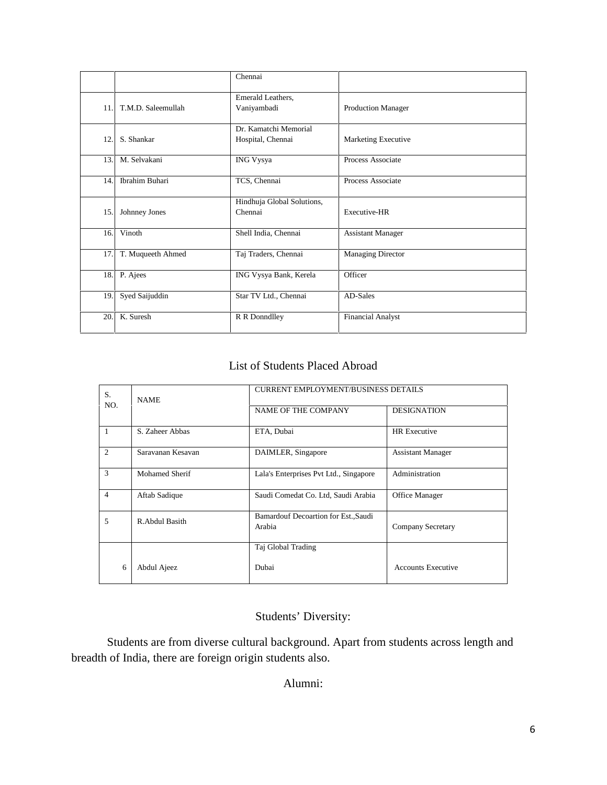|     |                    | Chennai                                    |                          |
|-----|--------------------|--------------------------------------------|--------------------------|
| 11. | T.M.D. Saleemullah | Emerald Leathers,<br>Vaniyambadi           | Production Manager       |
| 12. | S. Shankar         | Dr. Kamatchi Memorial<br>Hospital, Chennai | Marketing Executive      |
| 13. | M. Selvakani       | <b>ING Vysya</b>                           | Process Associate        |
| 14. | Ibrahim Buhari     | TCS, Chennai                               | Process Associate        |
| 15. | Johnney Jones      | Hindhuja Global Solutions,<br>Chennai      | Executive-HR             |
| 16. | Vinoth             | Shell India, Chennai                       | <b>Assistant Manager</b> |
| 17. | T. Muqueeth Ahmed  | Taj Traders, Chennai                       | Managing Director        |
| 18. | P. Ajees           | ING Vysya Bank, Kerela                     | Officer                  |
| 19. | Syed Saijuddin     | Star TV Ltd., Chennai                      | AD-Sales                 |
| 20. | K. Suresh          | R R Donndlley                              | <b>Financial Analyst</b> |

### List of Students Placed Abroad

| S.             | <b>NAME</b>       | <b>CURRENT EMPLOYMENT/BUSINESS DETAILS</b>     |                           |  |
|----------------|-------------------|------------------------------------------------|---------------------------|--|
| NO.            |                   | <b>NAME OF THE COMPANY</b>                     | <b>DESIGNATION</b>        |  |
| -1             | S. Zaheer Abbas   | ETA, Dubai                                     | <b>HR</b> Executive       |  |
| 2              | Sarayanan Kesayan | DAIMLER, Singapore                             | <b>Assistant Manager</b>  |  |
| 3              | Mohamed Sherif    | Lala's Enterprises Pvt Ltd., Singapore         | Administration            |  |
| $\overline{4}$ | Aftab Sadique     | Saudi Comedat Co. Ltd, Saudi Arabia            | Office Manager            |  |
| 5              | R. Abdul Basith   | Bamardouf Decoartion for Est., Saudi<br>Arabia | Company Secretary         |  |
|                |                   | Taj Global Trading                             |                           |  |
| 6              | Abdul Ajeez       | Dubai                                          | <b>Accounts Executive</b> |  |

# Students' Diversity:

Students are from diverse cultural background. Apart from students across length and breadth of India, there are foreign origin students also.

## Alumni: